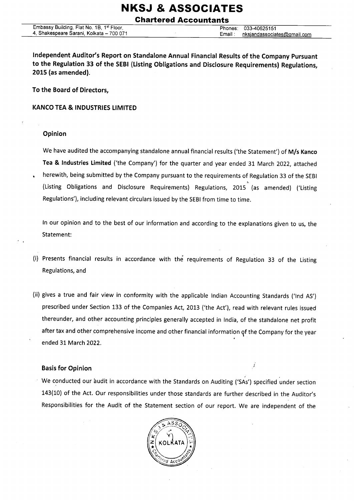Ghartered Accountants

lndependent Auditor/s Report on Standalone Annual Financial Results of the Company pursuant to the Regulation 33 of the SEBI (Listing Obligations and Disclosure Requirements) Regulations, 2015 (as amended).

To the Board of Directors,

KANCO TEA & INDUSTRIES LIMITED

#### Opinion

We have audited the accompanying standalone annual financial results ('the Statement') of M/s Kanco Tea & lndustries Limited ('the Company') for the quarter and year ended 31 March 2022, attached . herewith, being submitted by the Company pursuant to the requirements of Regulation 33 of the SEBI (Listing Obligations and Disclosure Requirements) Regulations, 2015 (as amended) ('Listing Regulations'), including relevant circulars issued by the SEBI from time to time.

ln our opinion and to the best of our information and according to the explanations given to us, the Statement:

- (i) Presents financial results in accordance with the requirements of Regulation 33 of the Listing Regulations, and
- (ii) gives a true and fair view in conformity with the applicable Indian Accounting Standards ('Ind AS') prescribed under Section 133 of the Companies Act, 2013 ('the Act'), read with relevant rules issued thereunder, and other accounting principles generally accepted in India, of the standalone net profit after tax and other comprehensive income and other financial information gf the Company for the year ended 31 March 2022.

### **Basis for Opinion in the case of the case of the case of the case of the case of the case of the case of the case of the case of the case of the case of the case of the case of the case of the case of the case of the cas**

We conducted our audit in accordance with the Standards on Auditing ('SAs') specified under section 143(10) of the Act. Our responsibilities under those standards are further described in the Auditor's Responsibilities for the Audit of the Statement section of our report. We are independent of the

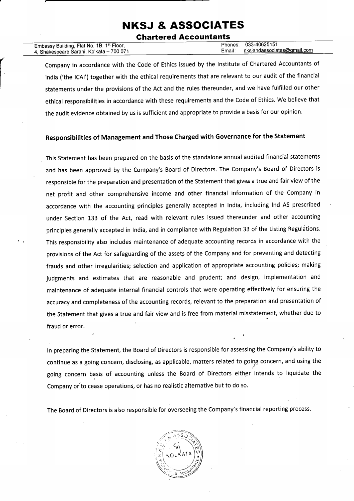#### Ghartered Accountants

| Embassy Building, Flat No. 1B, 1st Floor, | Phones: 033-40625151                   |
|-------------------------------------------|----------------------------------------|
| 4, Shakespeare Sarani, Kolkata – 700 071  | nksjandassociates@gmail.com<br>Email : |
|                                           |                                        |

Company in accordance with the Code of Ethics issued by the lnstitute of Chartered Accountants of lndia ('the lCAl') together with the ethical requirements that are relevant to our audit of the financial statements under the provisions of the Act and the rules thereunder, and we have fulfilled our other ethical responsibilities in accordance with these requirements and the Code of Ethics. We believe that the audit evidence obtained by us is sufficient and appropriate to provide a basis for our opinion,

#### Responsibilities of Management and Those Charged with Governance for the Statement

This Statement has been prepared on the basis of the standalone annual audited financial statements and has been approved by the Company's Board of Directors, The Company's Board of Directors is responsible for the preparation and presentation of the Statement that gives a true and fair view of the net profit and other comprehensive income and other financial information of the Company in accordance with the accounting principles generally accepted in lndia, including lnd AS prescribed under Section 133 of the Act, read with relevant rules issued thereunder and other accounting principles generally accepted in India, and in compliance with Regulation 33 of the Listing Regulations. This responsibility also includes maintenance of adequate accounting records in accordance with the provisions of the Act for safeguarding of the assets of the Company and for preventing and detecting frauds and other irregularities; selection and application of appropriate accounting policies; making judgments and estimates that are reasonable and prudent; and design, implementation and maintenance of adequate internal financial controls that were operating effectively for ensuring the accuracy and completeness of the accounting records, relevant to the preparation and presentation of the Statement that gives a true and fair view and is free from material misstatement, whether due to fraud or error.

ln preparing the Statement, the Board of Directors is responsible for assessing the Company's ability to continue as a going concern, disclosing, as applicable, matters related to going concern, and using the going concern basis of accounting unless the Board of Directors either intends to liquidate the Company or'to cease operations, or has no realistic alternative but to do so.

. ,

The Board of Directors is also responsible for overseeing the Company's financial reporting process.

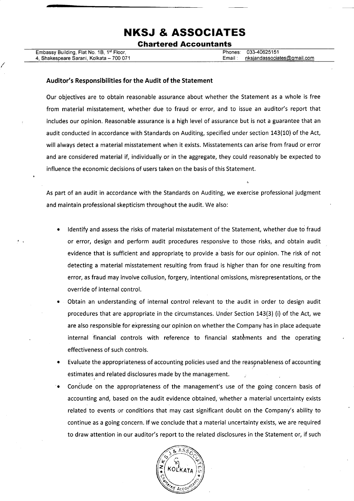Ghartered Accountants

Embassy Building, Flat No. 1B, 1st Floor, 4, Shakespeare Sarani, Kolkata - 700 071 Phones: 033-40625151 Email: nksiandassociates@qmail.com

n

#### Auditor's Responsibilities for the Audit of the Statement

Our objectives are to obtain reasonable assurance about whether the Statement as a whole is free from material misstatement, whether due to fraud or error, and to issue an auditor's report that includes our opinion. Reasonable assurance is a high level of assurance but is not a guarantee that an audit conducted in accordance with Standards on Auditing, specified under section 143(10) of the Act, will always detect a material misstatement when it exists. Misstatements can arise from fraud or error and are considered material if, individually or in the aggregate, they could reasonably be expected to influence the economic decisions of users taken on the basis of this Statement.

As part of an audit in accordance with the Standards on Auditing, we exercise professional judgment and maintain professional skepticism throughout the audit. We also:

- ldentify and assess the risks of material misstatement of the Statement, whether due to fraud or error, design and perform audit procedures responsive to those risks, and obtain audit evidence that is sufficient and appropriate to provide a basis for our opinion. The risk of not detecting a material misstatement resulting from fraud is higher than for one resulting from error, as fraud may involve collusion, forgery, intentional omissions, misrepresentations, or the override of internal control.
- Obtain an understanding of internal control relevant to the audit in order to design audit procedures that are appropriate in the circumstances. Under Section 143(3) (i) of the Act, we are also responsible for expressing our opinion on whether the Company has in place adequate internal financial controls with reference to financial statements and the operating effectiveness of such controls.
- Evaluate the appropriateness of accounting policies used and the reasgnableness of accounting estimates and related disclosures made by the management.
- Condlude on the appropriateness of the management's use of the going concern basis of accounting and, based on the audit evidence obtained, whether a material uncertainty exists related to events or conditions that may cast significant doubt on the Company's ability to continue as a going concern. lf we conclude that a material uncertainty exists, we are required to draw attention in our auditor's report to the related disclosures in the Statement or, if such -a

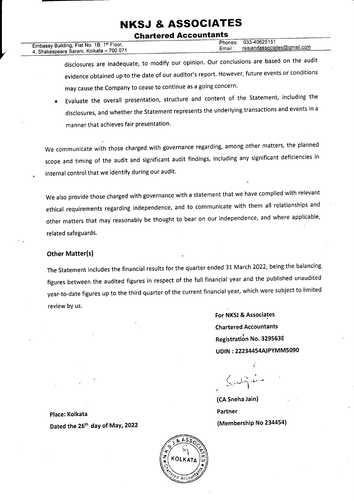#### **Chartered Accountants**

033-40625151 Phones: Embassy Building, Flat No. 1B, 1st Floor, nksjandassociates@gmail.com Email: 4, Shakespeare Sarani, Kolkata - 700 071

- disclosures are inadequate, to modify our opinion. Our conclusions are based on the audit evidence obtained up to the date of our auditor's report. However, future events or conditions may cause the Company to cease to continue as a going concern.
- Evaluate the overall presentation, structure and content of the Statement, including the disclosures, and whether the Statement represents the underlying transactions and events in a manner that achieves fair presentation.

We communicate with those charged with governance regarding, among other matters, the planned scope and timing of the audit and significant audit findings, including any significant deficiencies in internal control that we identify during our audit.

We also provide those charged with governance with a statement that we have complied with relevant ethical requirements regarding independence, and to communicate with them all relationships and other matters that may reasonably be thought to bear on our independence, and where applicable, related safeguards.

#### **Other Matter(s)**

The Statement includes the financial results for the quarter ended 31 March 2022, being the balancing figures between the audited figures in respect of the full financial year and the published unaudited year-to-date figures up to the third quarter of the current financial year, which were subject to limited review by us.

> For NKSJ & Associates **Chartered Accountants** Registration No. 329563E UDIN: 22234454AJPYMM5090

(CA Sneha Jain) Partner (Membership No 234454)

Place: Kolkata Dated the 26<sup>th</sup> day of May, 2022

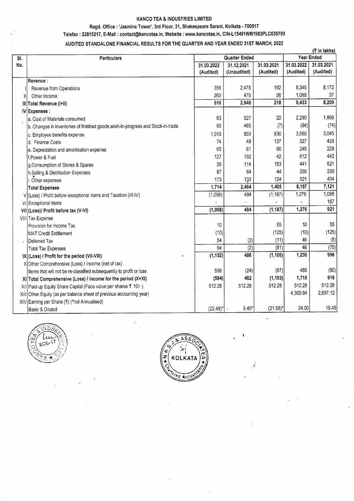#### KANCO TEA & INDUSTRIES LIMITED

#### Regd, Office : 'Jasmine Tower', 3rd Floor, 31, Shakespeare Sarani, Kolkata - 700017

#### Telefax : 22815217, E-Mail : contact@kancotea.in, Website : www.kancotea.in, CIN-L15491WB1983PLC035793

#### AUDITED STANDALONE FINANCIAL RESULTS FOR THE QUARTER AND YEAR ENDED 31ST MARCH, 2022

|     |                                                                                  |             |                      |             | (₹ in lakhs) |            |
|-----|----------------------------------------------------------------------------------|-------------|----------------------|-------------|--------------|------------|
| SI. | <b>Particulars</b>                                                               |             | <b>Quarter Ended</b> |             | Year Ended   |            |
| No. |                                                                                  | 31.03.2022  | 31.12.2021           | 31.03.2021  | 31.03.2022   | 31.03.2021 |
|     |                                                                                  | (Audited)   | (Unaudited)          | (Audited)   | (Audited)    | (Audited)  |
|     | Revenue:                                                                         |             |                      |             |              |            |
|     | Revenue from Operations                                                          | 356         | 2,478                | 192         | 8,345        | 8,172      |
| H   | Other Income                                                                     | 260         | 470                  | 26          | 1,088        | 37         |
|     | III Total Revenue (I+II)                                                         | 616         | 2,948                | 218         | 9,433        | 8,209      |
|     | $IV$ Expenses :                                                                  |             |                      |             |              |            |
|     | a. Cost of Materials consumed                                                    | 83          | 527                  | 22          | 2,290        | 1,898      |
|     | b. Changes in inventories of finished goods, work-in-progress and Stock-in-trade | 60          | 465                  | (7)         | (94)         | (74)       |
|     | c. Employee benefits expense                                                     | 1,019       | 859                  | 830         | 3,560        | 3,045      |
|     | d. Finance Costs                                                                 | 74          | 49                   | 137         | 327          | 426        |
|     | e. Depreciation and amortisation expense                                         | 65          | 61                   | 60          | 245          | 229        |
|     | f.Power & Fuel                                                                   | 127         | 192                  | 42          | 612          | 442        |
|     | g.Consumption of Stores & Spares                                                 | 26          | 114                  | 153         | 441          | 521        |
|     | h.Selling & Distribution Expenses                                                | 87          | 64                   | 44          | 255          | 230        |
|     | i. Other expenses                                                                | 173         | 133                  | 124         | 521          | 404        |
|     | <b>Total Expenses</b>                                                            | 1,714       | 2,464                | 1,405       | 8,157        | 7,121      |
|     | V (Loss) / Profit before exceptional items and Taxation (III-IV)                 | (1,098)     | 484                  | (1, 187)    | 1,276        | 1,088      |
|     | VI Exceptional Items                                                             |             |                      |             |              | 167        |
|     | VII (Loss)/ Profit before tax (V-VI)                                             | (1,098)     | 484                  | (1, 187)    | 1,276        | 921        |
|     | VIII Tax Expense                                                                 |             |                      |             |              |            |
|     | Provision for Income Tax                                                         | 10          |                      | 55          | 10           | 55         |
|     | MAT Credit Entitlement                                                           | (10)        |                      | (125)       | (10)         | (125)      |
| 外国  | Deferred Tax                                                                     | 54          | (2)                  | (11)        | 46           | (5)        |
|     | <b>Total Tax Expenses</b>                                                        | 54          | (2)                  | (81)        | 46           | (75)       |
|     | IX (Loss) / Profit for the period (VII-VIII)                                     | (1, 152)    | 486                  | (1, 106)    | 1,230        | 996        |
|     | X Other Comprehensive (Loss) / Income (net of tax)                               |             |                      |             |              |            |
|     | Items that will not be re-classified subsequently to profit or loss              | 558         | (24)                 | (87)        | 485          | (80)       |
|     | XI Total Comprehensive (Loss) / Income for the period (X+XI)                     | (594)       | 462                  | (1, 193)    | 1,715        | 916        |
|     | XII Paid-up Equity Share Capital (Face value per shares ₹ 10/-)                  | 512.28      | 512.28               | 512.28      | 512.28       | 512.28     |
|     | XIII Other Equity (as per balance sheet of previous accounting year)             |             |                      |             | 4,360.94     | 2,697.12   |
|     | XIV Earning per Share (₹) (*not Annualised)                                      |             |                      |             |              |            |
|     | Basic & Diluted                                                                  | $(22.48)^*$ | $9.49*$              | $(21.58)^*$ | 24.00        | 19.45      |





k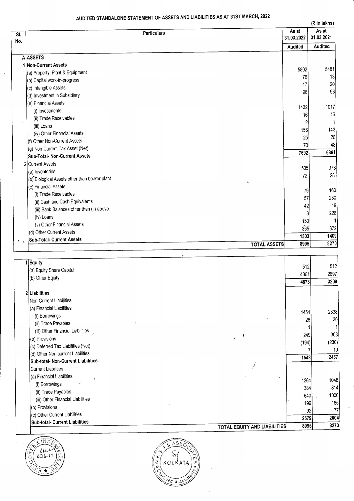### AUDITED STANDALONE STATEMENT OF ASSETS AND LIABILITIES AS AT 31ST MARCH, 2022

 $\sim 100$ 

|                     |                                                                       |                | (र in lakhs)          |
|---------------------|-----------------------------------------------------------------------|----------------|-----------------------|
| SI.                 | <b>Particulars</b>                                                    | As at          | As at                 |
| No.                 |                                                                       | 31.03.2022     | 31.03.2021            |
|                     |                                                                       | Audited        | Audited               |
|                     | <b>A</b> ASSETS                                                       |                |                       |
|                     | 1 Non-Current Assets                                                  |                |                       |
|                     | (a) Property, Plant & Equipment                                       | 5802           | 5481                  |
|                     | (b) Capital work-in-progress                                          | 76             | 13                    |
|                     | (c) Intangible Assets                                                 | 17             | 20 <sup>2</sup><br>96 |
|                     | (d) Investment in Subsidiary                                          | 96             |                       |
|                     | (e) Financial Assets                                                  |                | 1017                  |
|                     | (i) Investments                                                       | 1432           |                       |
|                     | (ii) Trade Receivables                                                | 16             | 16<br>$\mathbf{1}$    |
| ÷                   | (iii) Loans                                                           |                | 143                   |
|                     | (iv) Other Financial Assets                                           | 156            |                       |
|                     | (f) Other Non-Current Assets                                          | 25             | 26                    |
|                     | (g) Non-Current Tax Asset (Net)                                       | 70             | 48                    |
|                     | Sub-Total- Non-Current Assets                                         | 7692           | 6861                  |
|                     | 2 Current Assets                                                      |                | 373                   |
|                     | (a) Inventories                                                       | 535            |                       |
|                     | (b) Biological Assets other than bearer plant<br>$\delta\epsilon_{i}$ | 72             | 28                    |
|                     | (c) Financial Assets                                                  |                | 160                   |
|                     | (i) Trade Receivables                                                 | 79             | 230                   |
|                     | (ii) Cash and Cash Equivalents                                        | 57             | 19                    |
|                     | (iii) Bank Balances other than (ii) above                             | 42             |                       |
|                     | (iv) Loans                                                            | 3 <sup>1</sup> | 226                   |
|                     | (v) Other Financial Assets                                            | 150            |                       |
|                     | (d) Other Current Assets                                              | 365            | 372                   |
| $\theta$ $\epsilon$ | <b>Sub-Total- Current Assets</b>                                      | 1303           | 1409                  |
|                     | <b>TOTAL ASSETS</b>                                                   | 8995           | 8270                  |

| i Equity                           |                                     | 512                   |
|------------------------------------|-------------------------------------|-----------------------|
| (a) Equity Share Capital           | 512                                 |                       |
| (b) Other Equity                   | 4361                                | 2697                  |
|                                    | 4873                                | 3209                  |
| 2 Liabilities                      |                                     |                       |
| Non-Current Liabilities            |                                     |                       |
| (a) Financial Liabilities          |                                     |                       |
| (i) Borrowings                     | 1454                                | 2338                  |
| (ii) Trade Payables                |                                     | 30 <sup>2</sup><br>26 |
| (iii) Other Financial Liabilities  |                                     |                       |
| (b) Provisions                     | $\mathbf{V}$                        | 308<br>249            |
| (c) Deferred Tax Liabilities (Net) | (194)                               | (230)                 |
| (d) Other Non-current Liabilities  |                                     | 10                    |
| Sub-total- Non-Current Liabilities | 1543                                | 2457                  |
| Current Liabilities                | š                                   |                       |
| (a) Financial Liabilities          |                                     |                       |
| ÷<br>(i) Borrowings                | 1264                                | 1048                  |
| (ii) Trade Payables                |                                     | 314<br>384            |
| (iii) Other Financial Liabilities  |                                     | 1000<br>640           |
| (b) Provisions                     |                                     | 165<br>199            |
| (c) Other Current Liabilities      |                                     | 77<br>92              |
| Sub-total- Current Liabilities     |                                     | 2604<br>2579          |
|                                    | <b>TOTAL EQUITY AND LIABILITIES</b> | 8270<br>8995          |



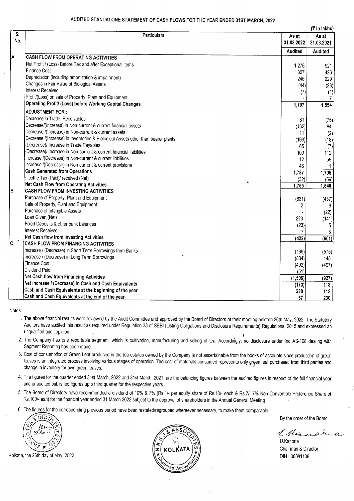#### AUDITED STANDALONE STATEMENT OF CASH FLOWS FOR THE YEAR ENDED 31ST MARCH, 2022

|     |                                                                                  |                | (₹ in lakhs) |
|-----|----------------------------------------------------------------------------------|----------------|--------------|
| SI. | Particulars                                                                      | As at          | As at        |
| No. |                                                                                  | 31.03.2022     | 31.03.2021   |
|     |                                                                                  | <b>Audited</b> | Audited      |
| A   | CASH FLOW FROM OPERATING ACTIVITIES                                              |                |              |
|     | Net Profit / (Loss) Before Tax and after Exceptional items                       | 1,276          | 921          |
|     | Finance Cost                                                                     | 327            | 426          |
|     | Depreciation (including amortization & impairment)                               | 245            | 229          |
|     | Changes in Fair Value of Biological Assets                                       | (44)           | (28)         |
|     | Interest Received                                                                | (7)            | (1)          |
|     | Profit/(Loss) on sale of Property, Plant and Equipment                           |                | 7            |
|     | Operating Profit/ (Loss) before Working Capital Changes                          | 1,797          | 1,554        |
|     | <b>ADJUSTMENT FOR:</b>                                                           |                |              |
|     | Decrease in Trade Receivables                                                    | 81             | (75)         |
|     | Decrease/(Increase) in Non-current & current financial assets                    | (162)          | 84           |
|     | Decrease /(Increase) in Non-current & current assets                             | 11             | (2)          |
|     | Decrease /(Increase) in Inventories & Biological Assets other than bearer plants | (163)          | (18)         |
|     | (Decrease)/ Increase in Trade Payables                                           | 65             | (7)          |
|     | (Decrease)/ Increase in Non-current & current financial liabilities              | 100            | 112          |
|     | Increase /(Decrease) in Non-current & current liabilities                        | 12             | 56           |
|     | Increase /(Decrease) in Non-current & current provisions                         | 46             |              |
|     | Cash Generated from Operations                                                   | 1,787          | 1,705        |
|     | Income Tax (Paid)/ received (Net)                                                | (32)           | (59)         |
|     | Net Cash Flow from Operating Activities                                          | 1,755          | 1,646        |
|     | CASH FLOW FROM INVESTING ACTIVITIES                                              |                |              |
|     | Purchase of Property, Plant and Equipment                                        | (631)          | (457)        |
|     | Sale of Property, Plant and Equipment                                            | 2              | 6            |
|     | Purchase of Intangible Assets                                                    |                | (22)         |
|     | Loan Given (Net)                                                                 | 223            | (141)        |
|     | Fixed Deposits & other bank balances                                             | (23)           | 5            |
|     | Interest Received                                                                | 7              |              |
|     | Net Cash flow from Investing Activities                                          | (422)          | (601)        |
|     | CASH FLOW FROM FINANCING ACTIVITIES                                              |                |              |
|     | Increase / (Decrease) in Short Term Borrowings from Banks                        | (169)          | (575)        |
|     | Increase / (Decrease) in Long Term Borrowings                                    | (884)          | 145          |
|     | Finance Cost                                                                     | (402)          | (497)        |
|     | Dividend Paid                                                                    | (51)           |              |
|     | Net Cash flow from Financing Activities                                          | (1, 506)       | (927)        |
|     | Net Increase / (Decrease) in Cash and Cash Equivalents                           | (173)          | 118          |
|     | Cash and Cash Equivalents at the beginning of the year                           | 230            | 112          |
|     | Cash and Cash Equivalents at the end of the year                                 | 57             | 230          |

Notes:

- 1. The above financial results were reviewed by the Audit Committee and approved by the Board of Directors at their meeting held on 26th May, 2022. The Statutory Auditors have audited this result as required under Regulation 33 of SEBI (Listing Obligations and Disclosure Requirements) Regulations, 2015 and expressed an unqualified audit opinion.
- 2, The Company has one reportable segment, which is cultivation, manufacturing and selling of tea. Accordirigly, no disclosure under lnd AS-108 dealing with Segment Reporting has been made.
- 3. Cost of consumption of Green Leaf produced in the tea estates owned by the Company is nol ascertainable from the books of accounts since production of green leaves is an integrated process involving various stages of operation. The cost of materials consumed represents only green leaf purchased from third parties and change in inventory for own green leaves.
- 4. The figures for the quarter ended 31st March, 2022 and 31st March, 2021, are the balancing figures between the audited figures in respect of the full financial year and unaudited published figures upto third quarter for the respective years,
- 5. The Board of Directors have recommended a dividend of 10% & 7% (Rs.1/- per equity share of Rs.10/- each & Rs.7/- 7% Non Convertible Preference Share of Rs.100/- eah) for the financial year ended 31 March 2022 subject to the approval of shareholders in the Annual General Meeting
- 6. The figures for the corresponding previous period have been restated/regrouped whereever necessary, to make them comparable.

// / KOLia))<br>I

Kolkata, the 26th day of May, 2022



By the order of the Board

 $1.14$ ; ar

U.Kanoria Chairman & Director DIN :00081108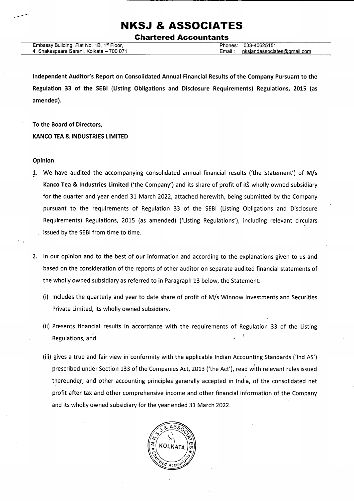Ghartered Accountants

| Embassy Building, Flat No. 1B, 1 <sup>st</sup> Floor, |  |
|-------------------------------------------------------|--|
| 4, Shakespeare Sarani, Kolkata – 700 071              |  |

Phones: 033-40625151 Email: nksiandassociates@qmail.com

Independent Auditor's Report on Consolidated Annual Financial Results of the Company Pursuant to the Regulation 33 of the SEBI (Listing Obligations and Disclosure Requirements) Regulations, 2015 (as amended).

To the Board of Directors, KANCO TEA & INDUSTRIES LIMITED

#### Opinion

- 1. We have audited the accompanying consolidated annual financial results ('the Statement') of M/s Kanco Tea & Industries Limited ('the Company') and its share of profit of its wholly owned subsidiary for the quarter and year ended 31. March 2022, attached herewith, being submitted by the Company pursuant to the requirements of Regulation 33 of the SEBI (Listing Obligations and Disclosure Requirements) Regulations, 2015 (as amended) ('Listing Regulations'), including relevant circulars issued by the SEBI from time to time.
- 2. ln our opinion and to the best of our information and according to the explanations given to us and based on the consideration of the reports of other auditor on separate audited financial statements of the wholly owned subsidiary as referred to in Paragraph 13 below, the Statement:
	- (i) lncludes the quarterly and year to date share of profit of M/s Winnow lnvestments and Securities Private Limited, its wholly owned subsidiary.
	- (ii) Presents financial results in accordance with the requirements of Regulation 33 of the Listing Regulations, and !
	- (iii) gives a true and fair view in conformity with the applicable lndian Accounting Standards ('lnd AS') prescribed under Section 133 of the Companies Act, 2013 ('the Act'), read with relevant rules issued thereunder, and other accounting principles generally accepted in India, of the consolidated net profit after tax and other comprehensive income and other financial information of the Company and its wholly owned subsidiary for the year ended 31 March 2022.

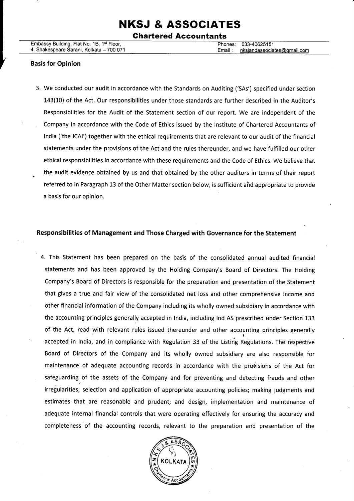#### Ghartered Accountants

#### Basis for Opinion

3. We conducted our audit in accordance with the Standards on Auditing ('SAs') specified under section 143(10) of the Act. Our responsibilities under those standards are further described in the Auditor's Responsibilities for the Audit of the Statement section of our report. We are independent of the Company in accordance with the Code of Ethics issued by the lnstitute of Chartered Accountants of lndia ('the lCAl') together with the ethical requirements that are relevant to our audit of the financial statements under the provisions of the Act and the rules thereunder, and we have fulfilled our other ethical responsibilities in accordance with these requirements and the Code of Ethics. We believe that . the audit evidence obtained by us and that obtained by the other auditors in terms of their report referred to in Paragraph 13 of the Other Matter section below, is sufficient ahd appropriate to provide a basis for our opinion.

#### Responsibilities of Management and Those Charged with Governance for the Statement

4. This Statement has been prepared on the basis of the consolidated annual audited financial statements and has been approved by the Holding Company's Board of Directors. The Holding Company's Board of Directors is responsible for the preparation and presentation of the Statement that gives a true and fair view of the consolidated net loss and other comprehensive income and other financial information of the Company including its wholly owned subsidiary in accordance with the accounting principles generally accepted in lndia, including lnd AS prescribed under Section 133 of the Act, read with relevant rules issued thereunder and other accounting principles generally accepted in India, and in compliance with Regulation 33 of the Listing Regulations. The respective Board of Directors of the Company and its wholly owned subsidiary are also responsible for maintenance of adequate accounting records in accordance with the provisions of the Act for safeguarding of the assets of the Company and for preventing and detecting frauds and other irregularities; selection and application of appropriate accounting policies; making judgments and estimates that are reasonable and prudent; and design, implementation and maintenance of adequate internal financial controls that were operating effectively for ensuring the accuracy and completeness of the accounting records, relevant to the preparation and presentation of the

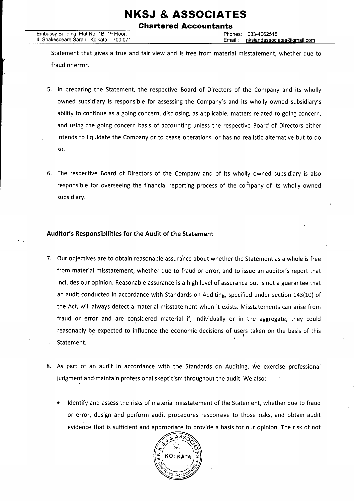### NKSJ & ASSOCIATES Chartered Accountants

Statement that gives a true and fair view and is free from material misstatement, whether due to fraud or error.

- 5. ln preparing the Statement, the respective Board of Directors of the Company and its wholly owned subsidiary is responsible for assessing the Company's and its wholly owned subsidiary's ability to continue as a going concern, disclosing, as applicable, matters related to going concern, and using the going concern basis of accounting unless the respective Board of Directors either intends to liquidate the Company or to cease operations, or has no realistic alternative but to do so.
- 5. The respective Board of Directors of the Company and of its wholly owned subsidiary is also responsible for overseeing the financial reporting process of the company of its wholly owned subsidiary.

#### Auditor's Responsibilities for the Audit of the Statement

- 7. Our objectives are to obtain reasonable assurahce about whether the Statement as a whole is free from material misstatement, whether due to fraud or error, and to issue an auditor's report that includes our opinion. Reasonable assurance is a high level of assurance but is not a guarantee that an audit conducted in accordance with Standards on Auditing, specified under section 143(10) of the Act, will always detect a material misstatement when it exists. Misstatements can arise from fraud or error and are considered material if, individually or in the aggregate, they could reasonably be expected to influence the economic decisions of users taken on the basis of this Statement.
- 8. As part of an audit in accordance with the Standards on Auditing, we exercise professional -judgment judgment and maintain professional skepticism throughout the audit. We also:
	- ldentify and assess the risks of material misstatement of the Statement, whether due to fraud or error, design and perform audit procedures responsive to those risks, and obtain audit evidence that is sufficient and appropriate to provide a basis for our opinion. The risk of not

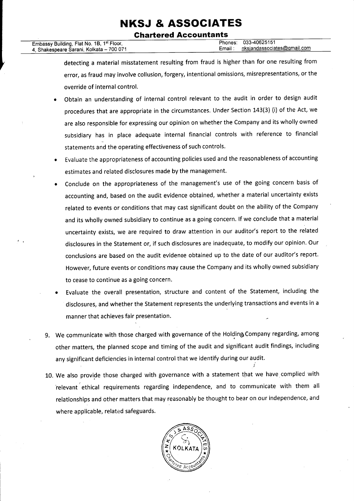# **Chartered Accountants**

| Embassy Building, Flat No. 1B, 1st Floor, |         | Phones: 033-40625151 |
|-------------------------------------------|---------|----------------------|
| 4, Shakespeare Sarani, Kolkata – 700 071  | Email : | nksiandassociate     |
|                                           |         |                      |

detecting a material misstatement resulting from fraud is higher than for one resulting from error, as fraud may involve collusion, forgery, intentional omissions, misrepresentations, or the override of internal control.

- Obtain an understanding of internal control relevant to the audit in order to design audit procedures that are appropriate in the circumstances. Under Section 143(3) (i) of the Act, we are also responsible for expressing our opinion on whether the Company and its wholly owned subsidiary has in place adequate internal financial controls with reference to financial statements and the operating effectiveness of such controls.
- Evaluate the appropriateness of accounting policies used and the reasonableness of accounting estimates and related disclosures made by the management.
- Conclude on the appropriateness of the management's use of the going concern basis of  $\bullet$ accounting and, based on the audit evidence obtained, whether a material uncertainty exists related to events or conditions that may cast significant doubt on the ability of the Company and its wholly owned subsidiary to continue as a going concern. lf we conclude that a material uncertainty exists, we are required to draw attention in our auditor's report to the related disclosures in the Statement or, if such disclosures are inadequate, to modify our opinion. Our conclusions are based on the audit evidence obtained up to the date of our auditor's report. However, future events or conditions may cause the Company and its wholly owned subsidiary to cease to continue as a going concern.
- Evaluate the overall presentation, structure and content of the Statement, including the disclosures, and whether the Statement represents the underlying transactions and events in <sup>a</sup> manner that achieves fair presentation.
- 9. We communicate with those charged with governance of the Holding Company regarding, among other matters, the planned scope and timing of the audit and significant audit findings, including any significant deficiencies in internal control that we identify during our audit.
- 10. We also provide those charged with governance with a statement that we have complied with ielevant ethical requirements regarding independence, and to communicate with them all relationships and other matters that may reasonably be thought to bear on our independence, and where applicable, related safeguards.

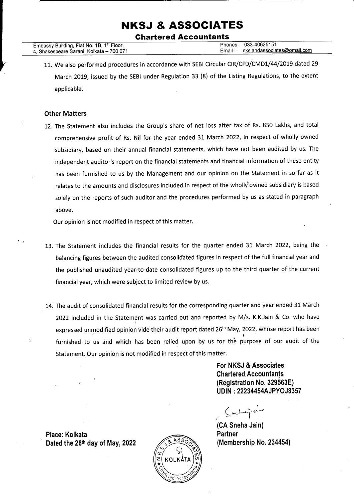Ghartered Accountants

|                                                       | 033-40625151<br>Phones:                |
|-------------------------------------------------------|----------------------------------------|
| Embassy Building, Flat No. 1B, 1 <sup>st</sup> Floor, |                                        |
|                                                       |                                        |
| 4, Shakespeare Sarani, Kolkata – 700 071              | nksiandassociates@gmail.com<br>Email : |
|                                                       |                                        |

11. We also performed procedures in accordance with SEBI Circular CIR/CFD/CMD1/44/2019 dated 29 March 2019, issued by the SEBI under Regulation 33 (8) of the Listing Regulations, to the extent applicable.

#### Other Matters

12. The Statement also includes the Group's share of net loss after tax of Rs. 850 Lakhs, and total comprehensive profit of Rs. Nil for the year ended 31 March 2022, in respect of wholly owned subsidiary, based on their annual financial statements, which have not been audited by us. The independent auditor's report on the financial statements and financial information of these entity has been furnished to us by the Management and our opinion on the Statement in so far as it relates to the amounts and disclosures included in respect of the wholly owned subsidiary is based solely on the reports of such auditor and the procedures performed by us as stated in paragraph above.

Our opinion is not modified in respect of this matter.

- 13. The Statement includes the financial results for the quarter ended 31 March 2022, being the balancing figures between the audited consolidated figures in respect of the full financial year and the published unaudited year-to-date consolidated figures up to the third quarter of the current financial year, which were subject to limited review by us.
- 14. The audit of consolidated financial results for the corresponding quarter and year ended 31 March 2022 included in the Statement was carried out and reported by M/s. K.K.Jain & Co. who have expressed unmodified opinion vide their audit report dated 26<sup>th</sup> May, 2022, whose report has been furnished to us and which has been relied upon by us for the purpose of our audit of the Statement. Our opinion is not modified in respect of this matter.

For NKSJ & Associates Chartered. Accountants (Registration No. 329563E) <sup>U</sup>DIN : 222344544JPYOJ8357

I  $\zeta$  belong and

(CA Sneha Jain) **Partner** (Membership No. 234454)

Place: Kolkata Dated the  $26<sup>th</sup>$  day of May, 2022

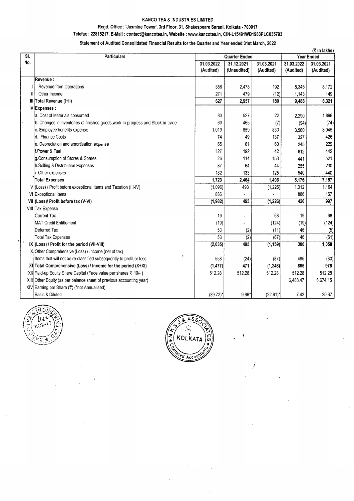#### KANCO TEA & INDUSTRIES LIMITED

#### Regd. Office : 'Jasmine Tower', 3rd Floor, 31, Shakespeare Sarani, Kolkata - 700017

#### Telefax: 22815217, E-Mail: contact@kancotea.in, Website: www.kancotea.in, CIN-L15491WB1983PLC035793

#### Statement of Audited Consolidated Financial Results for the Quarter and Year ended 31st March, 2022

|               |                                                                                  |             |                      |             | (₹ in lakhs) |            |
|---------------|----------------------------------------------------------------------------------|-------------|----------------------|-------------|--------------|------------|
| SI.           | <b>Particulars</b>                                                               |             | <b>Quarter Ended</b> |             | Year Ended   |            |
| No.           |                                                                                  | 31.03.2022  | 31.12.2021           | 31.03.2021  | 31.03.2022   | 31.03.2021 |
|               |                                                                                  | (Audited)   | (Unaudited)          | (Audited)   | (Audited)    | (Audited)  |
|               | Revenue :                                                                        |             |                      |             |              |            |
|               | Revenue from Operations                                                          | 356         | 2.478                | 192         | 8.345        | 8,172      |
| $\mathbf{H}$  | Other Income                                                                     | 271         | 479                  | (12)        | 1,143        | 149        |
| Ш             | Total Revenue (I+II)                                                             | 627         | 2,957                | 180         | 9,488        | 8,321      |
|               | IV Expenses :                                                                    |             |                      |             |              |            |
|               | la. Cost of Materials consumed                                                   | 83          | 527                  | 22          | 2,290        | 1,898      |
| $\frac{1}{2}$ | b. Changes in inventories of finished goods, work-in-progress and Stock-in-trade | 60          | 465                  | (7)         | (94)         | (74)       |
|               | c. Employee benefits expense                                                     | 1,019       | 859                  | 830         | 3,560        | 3,045      |
|               | d. Finance Costs                                                                 | 74          | 49                   | 137         | 327          | 426        |
|               | e. Depreciation and amortisation experise                                        | 65          | 61                   | 60          | 245          | 229        |
|               | lf.Power & Fuel                                                                  | 127         | 192                  | 42          | 612          | 442        |
|               | g.Consumption of Stores & Spares                                                 | 26          | 114                  | 153         | 441          | 521        |
|               | h.Selling & Distribution Expenses                                                | 87          | 64                   | 44          | 255          | 230        |
|               | i. Other expenses                                                                | 182         | 133                  | 125         | 540          | 440        |
|               | <b>Total Expenses</b>                                                            | 1,723       | 2,464                | 1,406       | 8,176        | 7,157      |
|               | V (Loss) / Profit before exceptional items and Taxation (III-IV)                 | (1,096)     | 493                  | (1, 226)    | 1,312        | 1,164      |
|               | VI Exceptional Items                                                             | 886         |                      |             | 886          | 167        |
|               | VII (Loss)/ Profit before tax (V-VI)                                             | (1,982)     | 493                  | (1, 226)    | 426          | 997        |
|               | VIII Tax Expense                                                                 |             |                      |             |              |            |
|               | Current Tax                                                                      | 19          |                      | 68          | 19           | 68         |
|               | MAT Credit Entitlement                                                           | (19)        |                      | (124)       | (19)         | (124)      |
|               | Deferred Tax                                                                     | 53          | (2)                  | (11)        | 46           | (5)        |
|               | <b>Total Tax Expenses</b>                                                        | 53          | (2)                  | (67)        | 46           | (61)       |
|               | IX (Loss) / Profit for the period (VII-VIII)                                     | (2,035)     | 495                  | (1, 159)    | 380          | 1,058      |
|               | X Other Comprehensive (Loss) / Income (net of tax)                               |             |                      |             |              |            |
|               | Items that will not be re-classified subsequently to profit or loss              | 558         | (24)                 | (87)        | 485          | (80)       |
|               | XI Total Comprehensive (Loss) / Income for the period (X+XI)                     | (1, 477)    | 471                  | (1, 246)    | 865          | 978        |
|               | XII Paid-up Equity Share Capital (Face value per shares ₹ 10/-)                  | 512.28      | 512.28               | 512.28      | 512.28       | 512.28     |
|               | XIII Other Equity (as per balance sheet of previous accounting year)             |             |                      |             | 6,488.47     | 5,674.15   |
|               | XIV Earning per Share (₹) (*not Annualised)                                      |             |                      |             |              |            |
|               | Basic & Diluted                                                                  | $(39.72)$ * | $9.66*$              | $(22.61)^*$ | 7.42         | 20.67      |





x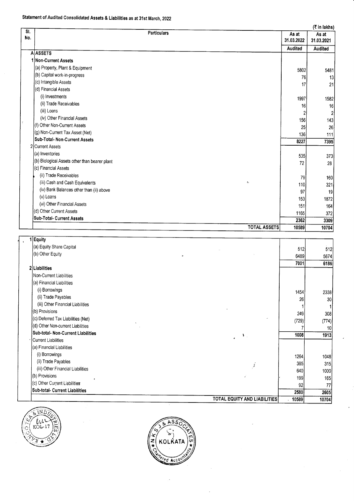### Statement of Audited Consolidated Assets & Liabilities as at 31st March, 2022

|            | (₹ in lakhs)                                  |            |                |  |
|------------|-----------------------------------------------|------------|----------------|--|
| SI.<br>No. | <b>Particulars</b>                            | As at      | As at          |  |
|            |                                               | 31.03.2022 | 31.03.2021     |  |
|            | <b>A</b> ASSETS                               | Audited    | Audited        |  |
|            | 1 Non-Current Assets                          |            |                |  |
|            | (a) Property, Plant & Equipment               |            |                |  |
|            | (b) Capital work-in-progress                  | 5802       | 5481           |  |
|            | (c) Intangible Assets                         | 76         | 13             |  |
|            | (d) Financial Assets                          | 17         | 21             |  |
|            | (i) Investments                               | 1997       |                |  |
|            | (ii) Trade Receivables                        | 16         | 1582<br>16I    |  |
|            | (iii) Loans                                   |            | $\overline{2}$ |  |
|            | (iv) Other Financial Assets                   | 156        | 143            |  |
| ł          | (f) Other Non-Current Assets                  | 25         | 26             |  |
|            | (g) Non-Current Tax Asset (Net)               | 136        | 111            |  |
|            | Sub-Total- Non-Current Assets                 | 8227       | 7395           |  |
|            | 2 Current Assets                              |            |                |  |
|            | (a) Inventories                               | 535        | 373            |  |
|            | (b) Biological Assets other than bearer plant | 72         | 28             |  |
|            | (c) Financial Assets                          |            |                |  |
|            | (ii) Trade Receivables                        | 79         | 160            |  |
|            | (iii) Cash and Cash Equivalents<br>ę.         | 110        | 321            |  |
|            | (iv) Bank Balances other than (ii) above      | 97         | 19             |  |
|            | (v) Loans                                     | 153        | 1872           |  |
|            | (vi) Other Financial Assets                   | 151        | 164            |  |
|            | (d) Other Current Assets                      | 1165       | 372            |  |
|            | <b>Sub-Total- Current Assets</b>              | 2362       | 3309           |  |
|            | <b>TOTAL ASSETS</b>                           | 10589      | 10704          |  |

| 1 Equity                                 |       |       |
|------------------------------------------|-------|-------|
| (a) Equity Share Capital                 | 512   | 512   |
| (b) Other Equity                         | 6489  | 5674  |
|                                          | 7001  | 6186  |
| 2 Liabilities                            |       |       |
| Non-Current Liabilities                  |       |       |
| (a) Financial Liabilities                |       |       |
| (i) Borrowings                           | 1454  | 2338  |
| (ii) Trade Payables                      | 26    | 30    |
| (iii) Other Financial Liabilities        |       |       |
| (b) Provisions                           | 249   | 308   |
| (c) Deferred Tax Liabilities (Net)       | (729) | (774) |
| (d) Other Non-current Liabilities        |       | 10    |
| Sub-total- Non-Current Liabilities<br>J. | 1008  | 1913  |
| Current Liabilities                      |       |       |
| (a) Financial Liabilities                |       |       |
| (i) Borrowings                           | 1264  | 1048  |
| (ii) Trade Payables<br>د                 | 385   | 315   |
| (iii) Other Financial Liabilities        | 640   | 1000  |
| (b) Provisions                           | 199   | 165   |
| (c) Other Current Liabilities            | 92    | 77    |
| Sub-total- Current Liabilities           | 2580  | 2605  |
| TOTAL EQUITY AND LIABILITIES             | 10589 | 10704 |



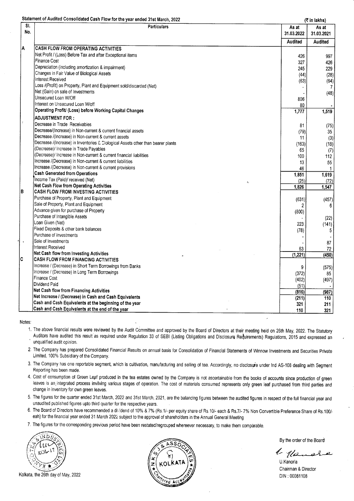|               | Statement of Audited Consolidated Cash Flow for the year ended 31st March, 2022  |                | (₹ in lakhs)   |
|---------------|----------------------------------------------------------------------------------|----------------|----------------|
| SI.           | <b>Particulars</b>                                                               | As at          | As at          |
| No.           |                                                                                  | 31.03.2022     | 31.03.2021     |
|               |                                                                                  | <b>Audited</b> | <b>Audited</b> |
| A             | <b>CASH FLOW FROM OPERATING ACTIVITIES</b>                                       |                |                |
|               | Net Profit / (Loss) Before Tax and after Exceptional items                       | 426            | 997            |
|               | <b>Finance Cost</b>                                                              | 327            | 426            |
|               | Depreciation (including amortization & impairment)                               | 245            | 229            |
|               | Changes in Fair Value of Biological Assets                                       | (44)           | (28)           |
|               | Interest Received                                                                | (63)           | (64)           |
|               | Loss /(Profit) on Property, Plant and Equipment sold/discarded (Net)             |                | 7              |
|               | Net (Gain) on sale of Investments                                                |                | (48)           |
|               | Unsecured Loan W/Off                                                             | 806            |                |
|               | Interest on Unsecured Loan W/off                                                 | 80             |                |
|               | Operating Profit/ (Loss) before Working Capital Changes                          | 1,777          | 1,519          |
|               | <b>ADJUSTMENT FOR:</b>                                                           |                |                |
|               | Decrease in Trade Receivables                                                    | 81             | (75)           |
|               | Decrease/(Increase) in Non-current & current financial assets                    | (79)           | 35             |
|               | Decrease /(Increase) in Non-current & current assets                             | 11             | (3)            |
|               | Decrease /(Increase) in Inventories & Diological Assets other than bearer plants | (163)          | (18)           |
|               | (Decrease)/ Increase in Trade Payables                                           | 65             | (7)            |
|               | (Decrease)/ Increase in Non-current & current financial liabilities              | 100            | 112            |
|               | Increase /(Decrease) in Non-current & current liabilities                        | 13             | 55             |
|               | Increase /(Decrease) in Non-current & current provisions                         | 46             | 1              |
|               | <b>Cash Generated from Operations</b>                                            | 1,851          | 1,619          |
|               | Income Tax (Paid)/ received (Net)                                                | (25)           | (72)           |
|               | Net Cash Flow from Operating Activities                                          | 1,826          | 1,547          |
| В             | CASH FLOW FROM INVESTING ACTIVITIES                                              |                |                |
|               | Purchase of Property, Plant and Equipment                                        | (631)          | (457)          |
|               | Sale of Property, Plant and Equipment                                            |                | 6              |
|               | Advance given for purchase of Property                                           | (800)          |                |
|               | Purchase of Intangible Assets                                                    |                | (22)           |
|               | Loan Given (Net)                                                                 | 223.           | (141)          |
|               | Fixed Deposits & other bank balances                                             | (78)           | 5              |
|               | Purchase of Investments                                                          |                |                |
| $\pmb{\cdot}$ | Sale of Investments                                                              |                | $87\,$         |
|               | Interest Received                                                                | 63             | 72             |
|               | Net Cash flow from Investing Activities                                          | (1, 221)       | (450)          |
| c             | <b>CASH FLOW FROM FINANCING ACTIVITIES</b>                                       |                |                |
|               | Increase / (Decrease) in Short Term Borrowings from Banks                        | 9              | (575)          |
|               | Increase / (Decrease) in Long Term Borrowings                                    | (372)          | 85             |
|               | <b>Finance Cost</b>                                                              | (402)          | (497)          |
|               | Dividend Paid                                                                    | (51)           |                |
|               | Net Cash flow from Financing Activities                                          | (816)          | (987)          |
|               | Net Increase / (Decrease) in Cash and Cash Equivalents                           | (211)          | 110            |
|               | Cash and Cash Equivalents at the beginning of the year                           | 321            | 211            |
|               | Cash and Cash Equivalents at the end of the year                                 | 110            | 321            |

#### Notes.

- 1. The above financial results were reviewed by the Audit Committee and approved by the Board of Directors at their meeting held on 26th May, 2022. The Statutory Auditors have audited this result as required under Regulation 33 of SEBI (Listing Obligations and Disclosure Requirements) Regulations, 2015 and expressed an unqualified audit opinion.
- 2. The Company has prepared Consolidated Financial Results on annual basis for Consolidation of Financial Statements of Winnow lnvestments and Securities private Limited, 100% Subsidiary of the Company,
- 3. The Company has one reportable segment, which is cultivation, manufacturing and selling of tea. Accordingly, no disclosure under Ind AS-108 dealing with Segment Reporting has been made.
- 4. Cost of consumption of Green Leaf produced in the tea estates owned by the Company is not ascertainable from the books of accounts since production of green leaves is an integrated process invilving various stages of operation. The cost of materials consumed represents only green leaf purchased from third parties and change in inventory for own green leaves.
- 5. The figures for the quarter ended 31st March, 2022 and 31st March, 2021, are the balancing figures between the audited figures in respect of the full financial year and unaudited published figures upto third quarter for the respective years,
- 6. The Board of Directors have recommended a dixidend of 10% & 7% (Rs.1/- per equity share of Rs.10/- each & Rs.7/- 7% Non Convertible Preference Share of Rs.100/eah) for the financial year ended 31 March 2022 subject to the approval of shareholders in the Annual General Meeting
- 7. The figures for the corresponding previous period have been restated/regrouped whereever necessary, to make them compárable.



Kolkata, the 26th day of May, 2022



By the order of the Board

 $\ell$ -110-

U.Kanoria Chairman & Director DIN :00081108